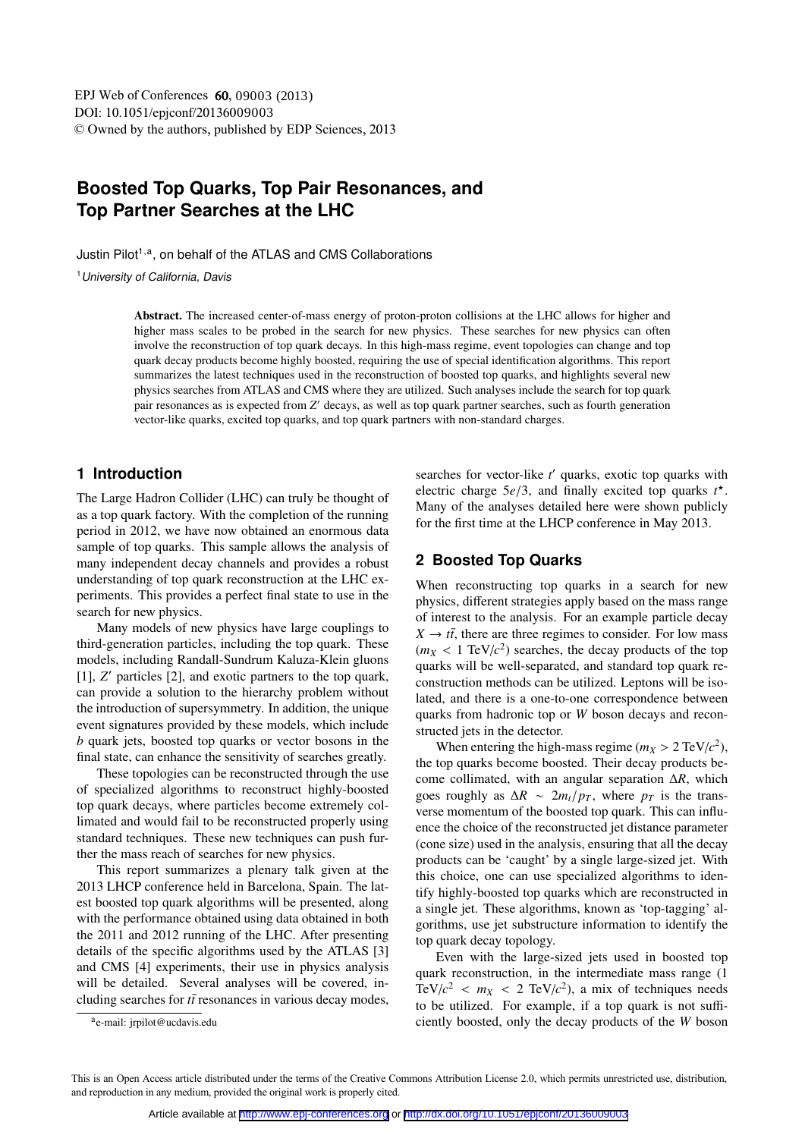# **Boosted Top Quarks, Top Pair Resonances, and Top Partner Searches at the LHC**

Justin Pilot<sup>1,a</sup>, on behalf of the ATLAS and CMS Collaborations

<sup>1</sup> University of California, Davis

Abstract. The increased center-of-mass energy of proton-proton collisions at the LHC allows for higher and higher mass scales to be probed in the search for new physics. These searches for new physics can often involve the reconstruction of top quark decays. In this high-mass regime, event topologies can change and top quark decay products become highly boosted, requiring the use of special identification algorithms. This report summarizes the latest techniques used in the reconstruction of boosted top quarks, and highlights several new physics searches from ATLAS and CMS where they are utilized. Such analyses include the search for top quark pair resonances as is expected from *Z'* decays, as well as top quark partner searches, such as fourth generation vector-like quarks, excited top quarks, and top quark partners with non-standard charges.

## **1 Introduction**

The Large Hadron Collider (LHC) can truly be thought of as a top quark factory. With the completion of the running period in 2012, we have now obtained an enormous data sample of top quarks. This sample allows the analysis of many independent decay channels and provides a robust understanding of top quark reconstruction at the LHC experiments. This provides a perfect final state to use in the search for new physics.

Many models of new physics have large couplings to third-generation particles, including the top quark. These models, including Randall-Sundrum Kaluza-Klein gluons [1], *Z'* particles [2], and exotic partners to the top quark, can provide a solution to the hierarchy problem without the introduction of supersymmetry. In addition, the unique event signatures provided by these models, which include *b* quark jets, boosted top quarks or vector bosons in the final state, can enhance the sensitivity of searches greatly.

These topologies can be reconstructed through the use of specialized algorithms to reconstruct highly-boosted top quark decays, where particles become extremely collimated and would fail to be reconstructed properly using standard techniques. These new techniques can push further the mass reach of searches for new physics.

This report summarizes a plenary talk given at the 2013 LHCP conference held in Barcelona, Spain. The latest boosted top quark algorithms will be presented, along with the performance obtained using data obtained in both the 2011 and 2012 running of the LHC. After presenting details of the specific algorithms used by the ATLAS [3] and CMS [4] experiments, their use in physics analysis will be detailed. Several analyses will be covered, including searches for  $t\bar{t}$  resonances in various decay modes, searches for vector-like *t'* quarks, exotic top quarks with electric charge  $5e/3$ , and finally excited top quarks  $t^*$ .<br>Many of the analyses detailed here were shown publicly Many of the analyses detailed here were shown publicly for the first time at the LHCP conference in May 2013.

## **2 Boosted Top Quarks**

When reconstructing top quarks in a search for new physics, different strategies apply based on the mass range of interest to the analysis. For an example particle decay  $X \rightarrow t\bar{t}$ , there are three regimes to consider. For low mass  $(m_X < 1 \text{ TeV}/c^2)$  searches, the decay products of the top quarks will be well-separated, and standard top quark requarks will be well-separated, and standard top quark reconstruction methods can be utilized. Leptons will be isolated, and there is a one-to-one correspondence between quarks from hadronic top or *W* boson decays and reconstructed jets in the detector.

When entering the high-mass regime  $(m_X > 2 \text{ TeV}/c^2)$ ,<br>top quarks become boosted. Their decay products bethe top quarks become boosted. Their decay products become collimated, with an angular separation ∆*R*, which goes roughly as  $\Delta R \sim 2m_t/p_T$ , where  $p_T$  is the transverse momentum of the boosted top quark. This can influence the choice of the reconstructed jet distance parameter (cone size) used in the analysis, ensuring that all the decay products can be 'caught' by a single large-sized jet. With this choice, one can use specialized algorithms to identify highly-boosted top quarks which are reconstructed in a single jet. These algorithms, known as 'top-tagging' algorithms, use jet substructure information to identify the top quark decay topology.

Even with the large-sized jets used in boosted top quark reconstruction, in the intermediate mass range (1 TeV/ $c^2 < m_X < 2$  TeV/ $c^2$ ), a mix of techniques needs<br>to be utilized. For example, if a top quark is not suffito be utilized. For example, if a top quark is not sufficiently boosted, only the decay products of the *W* boson

a<sub>e-mail: jrpilot@ucdavis.edu</sub>

This is an Open Access article distributed under the terms of the Creative Commons Attribution License 2.0, which permits unrestricted use, distribution, and reproduction in any medium, provided the original work is properly cited.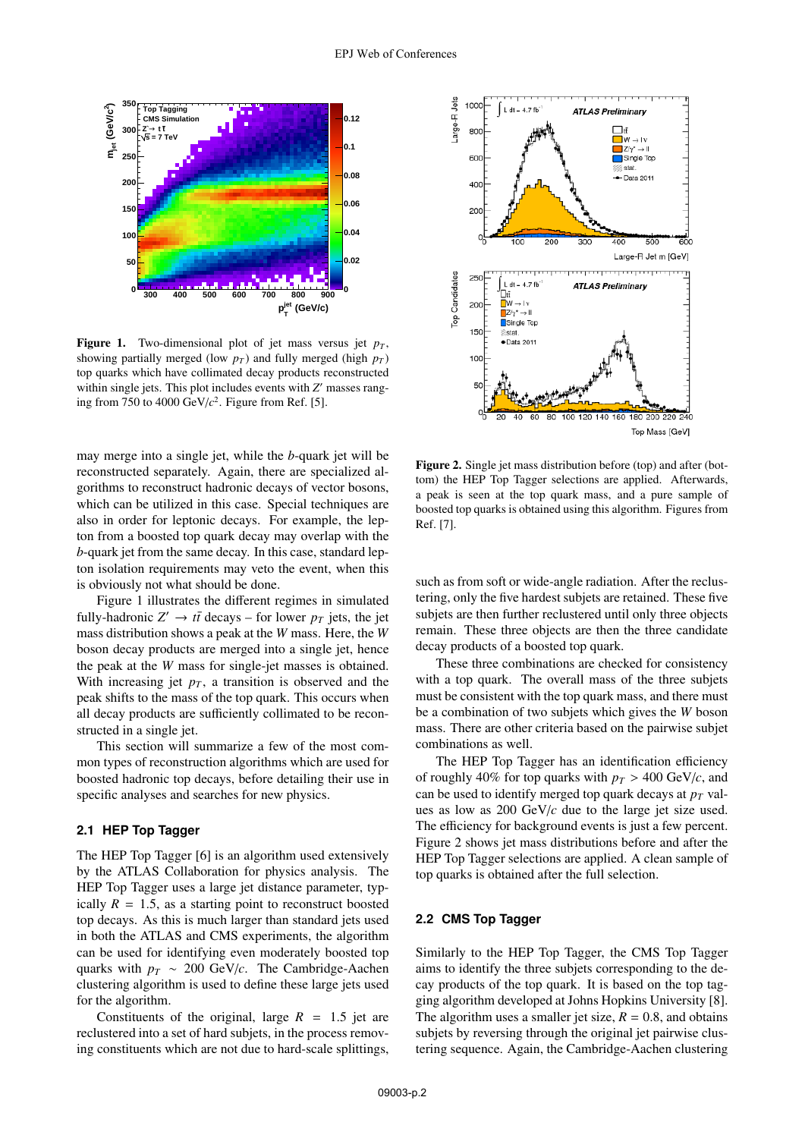

**Figure 1.** Two-dimensional plot of jet mass versus jet  $p<sub>T</sub>$ , showing partially merged (low  $p_T$ ) and fully merged (high  $p_T$ ) top quarks which have collimated decay products reconstructed within single jets. This plot includes events with *Z'* masses ranging from 750 to 4000 GeV/*c* 2 . Figure from Ref. [5].

may merge into a single jet, while the *b*-quark jet will be reconstructed separately. Again, there are specialized algorithms to reconstruct hadronic decays of vector bosons, which can be utilized in this case. Special techniques are also in order for leptonic decays. For example, the lepton from a boosted top quark decay may overlap with the *b*-quark jet from the same decay. In this case, standard lepton isolation requirements may veto the event, when this is obviously not what should be done.

Figure 1 illustrates the different regimes in simulated fully-hadronic  $Z' \to t\bar{t}$  decays – for lower  $p_T$  jets, the jet mass distribution shows a peak at the *W* mass. Here, the *W* boson decay products are merged into a single jet, hence the peak at the *W* mass for single-jet masses is obtained. With increasing jet  $p<sub>T</sub>$ , a transition is observed and the peak shifts to the mass of the top quark. This occurs when all decay products are sufficiently collimated to be reconstructed in a single jet.

This section will summarize a few of the most common types of reconstruction algorithms which are used for boosted hadronic top decays, before detailing their use in specific analyses and searches for new physics.

## **2.1 HEP Top Tagger**

The HEP Top Tagger [6] is an algorithm used extensively by the ATLAS Collaboration for physics analysis. The HEP Top Tagger uses a large jet distance parameter, typically  $R = 1.5$ , as a starting point to reconstruct boosted top decays. As this is much larger than standard jets used in both the ATLAS and CMS experiments, the algorithm can be used for identifying even moderately boosted top quarks with  $p_T \sim 200 \text{ GeV}/c$ . The Cambridge-Aachen clustering algorithm is used to define these large jets used for the algorithm.

Constituents of the original, large  $R = 1.5$  jet are reclustered into a set of hard subjets, in the process removing constituents which are not due to hard-scale splittings,



Figure 2. Single jet mass distribution before (top) and after (bottom) the HEP Top Tagger selections are applied. Afterwards, a peak is seen at the top quark mass, and a pure sample of boosted top quarks is obtained using this algorithm. Figures from Ref. [7].

such as from soft or wide-angle radiation. After the reclustering, only the five hardest subjets are retained. These five subjets are then further reclustered until only three objects remain. These three objects are then the three candidate decay products of a boosted top quark.

These three combinations are checked for consistency with a top quark. The overall mass of the three subjets must be consistent with the top quark mass, and there must be a combination of two subjets which gives the *W* boson mass. There are other criteria based on the pairwise subjet combinations as well.

The HEP Top Tagger has an identification efficiency of roughly 40% for top quarks with  $p_T > 400$  GeV/*c*, and can be used to identify merged top quark decays at *p<sup>T</sup>* values as low as 200 GeV/*c* due to the large jet size used. The efficiency for background events is just a few percent. Figure 2 shows jet mass distributions before and after the HEP Top Tagger selections are applied. A clean sample of top quarks is obtained after the full selection.

#### **2.2 CMS Top Tagger**

Similarly to the HEP Top Tagger, the CMS Top Tagger aims to identify the three subjets corresponding to the decay products of the top quark. It is based on the top tagging algorithm developed at Johns Hopkins University [8]. The algorithm uses a smaller jet size,  $R = 0.8$ , and obtains subjets by reversing through the original jet pairwise clustering sequence. Again, the Cambridge-Aachen clustering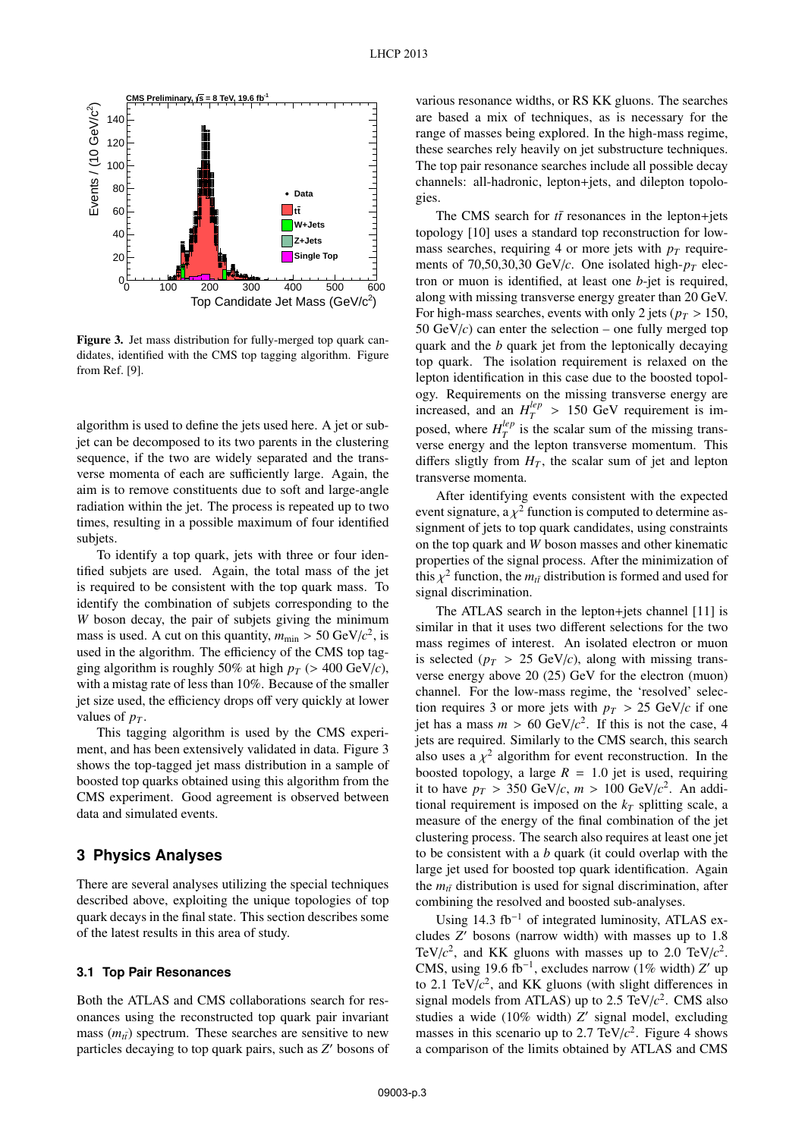

Figure 3. Jet mass distribution for fully-merged top quark candidates, identified with the CMS top tagging algorithm. Figure from Ref. [9].

algorithm is used to define the jets used here. A jet or subjet can be decomposed to its two parents in the clustering sequence, if the two are widely separated and the transverse momenta of each are sufficiently large. Again, the aim is to remove constituents due to soft and large-angle radiation within the jet. The process is repeated up to two times, resulting in a possible maximum of four identified subjets.

To identify a top quark, jets with three or four identified subjets are used. Again, the total mass of the jet is required to be consistent with the top quark mass. To identify the combination of subjets corresponding to the *W* boson decay, the pair of subjets giving the minimum mass is used. A cut on this quantity,  $m_{\text{min}} > 50 \text{ GeV}/c^2$ , is<br>used in the algorithm. The efficiency of the CMS top tagused in the algorithm. The efficiency of the CMS top tagging algorithm is roughly 50% at high  $p_T$  (> 400 GeV/*c*), with a mistag rate of less than 10%. Because of the smaller jet size used, the efficiency drops off very quickly at lower values of  $p_T$ .

This tagging algorithm is used by the CMS experiment, and has been extensively validated in data. Figure 3 shows the top-tagged jet mass distribution in a sample of boosted top quarks obtained using this algorithm from the CMS experiment. Good agreement is observed between data and simulated events.

## **3 Physics Analyses**

There are several analyses utilizing the special techniques described above, exploiting the unique topologies of top quark decays in the final state. This section describes some of the latest results in this area of study.

#### **3.1 Top Pair Resonances**

Both the ATLAS and CMS collaborations search for resonances using the reconstructed top quark pair invariant mass  $(m_{t\bar{t}})$  spectrum. These searches are sensitive to new particles decaying to top quark pairs, such as *Z'* bosons of

various resonance widths, or RS KK gluons. The searches are based a mix of techniques, as is necessary for the range of masses being explored. In the high-mass regime, these searches rely heavily on jet substructure techniques. The top pair resonance searches include all possible decay channels: all-hadronic, lepton+jets, and dilepton topologies.

The CMS search for  $t\bar{t}$  resonances in the lepton+jets topology [10] uses a standard top reconstruction for lowmass searches, requiring 4 or more jets with  $p<sub>T</sub>$  requirements of 70,50,30,30 GeV/*c*. One isolated high-*p<sup>T</sup>* electron or muon is identified, at least one *b*-jet is required, along with missing transverse energy greater than 20 GeV. For high-mass searches, events with only 2 jets ( $p_T > 150$ , 50 GeV/*c*) can enter the selection – one fully merged top quark and the *b* quark jet from the leptonically decaying top quark. The isolation requirement is relaxed on the lepton identification in this case due to the boosted topology. Requirements on the missing transverse energy are increased, and an  $H_{\tau}^{lep}$  $T_T^{top} > 150$  GeV requirement is imposed, where  $H_T^{lep}$  $T$ <sup>tep</sup> is the scalar sum of the missing transverse energy and the lepton transverse momentum. This differs sligtly from  $H_T$ , the scalar sum of jet and lepton transverse momenta.

After identifying events consistent with the expected event signature,  $a \chi^2$  function is computed to determine as-<br>signment of jets to top quark candidates, using constraints signment of jets to top quark candidates, using constraints on the top quark and *W* boson masses and other kinematic properties of the signal process. After the minimization of this  $\chi^2$  function, the  $m_{t\bar{t}}$  distribution is formed and used for signal discrimination signal discrimination.

The ATLAS search in the lepton+jets channel [11] is similar in that it uses two different selections for the two mass regimes of interest. An isolated electron or muon is selected ( $p_T > 25$  GeV/*c*), along with missing transverse energy above 20 (25) GeV for the electron (muon) channel. For the low-mass regime, the 'resolved' selection requires 3 or more jets with  $p_T > 25$  GeV/*c* if one jet has a mass  $m > 60 \text{ GeV}/c^2$ . If this is not the case, 4 jets are required. Similarly to the CMS search, this search also uses a  $\chi^2$  algorithm for event reconstruction. In the hoosted topology a large  $R = 1.0$  jet is used requiring boosted topology, a large  $R = 1.0$  jet is used, requiring it to have  $p_T > 350 \text{ GeV}/c$ ,  $m > 100 \text{ GeV}/c^2$ . An additional requirement is imposed on the  $k_T$  splitting scale at tional requirement is imposed on the  $k_T$  splitting scale, a measure of the energy of the final combination of the jet clustering process. The search also requires at least one jet to be consistent with a *b* quark (it could overlap with the large jet used for boosted top quark identification. Again the  $m_{t\bar{t}}$  distribution is used for signal discrimination, after combining the resolved and boosted sub-analyses.

Using  $14.3$  fb<sup>-1</sup> of integrated luminosity, ATLAS excludes *Z'* bosons (narrow width) with masses up to 1.8 TeV/ $c^2$ , and KK gluons with masses up to 2.0 TeV/ $c^2$ . CMS, using 19.6 fb<sup>-1</sup>, excludes narrow (1% width) *Z'* up to 2.1 TeV/ $c^2$ , and KK gluons (with slight differences in signal models from ATLAS) up to 2.5 TeV/ $c^2$ . CMS also studies a wide (10% width) Z' signal model, excluding masses in this scenario up to 2.7 TeV/ $c^2$ . Figure 4 shows a comparison of the limits obtained by ATLAS and CMS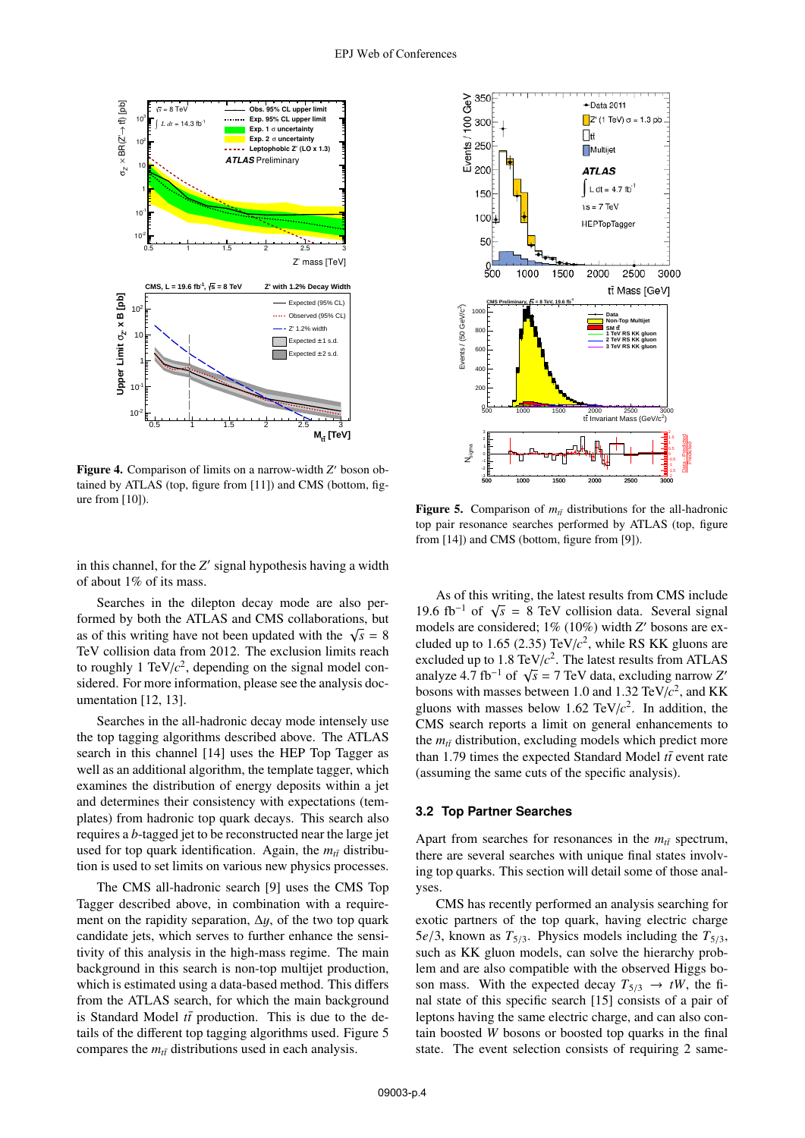

Figure 4. Comparison of limits on a narrow-width Z' boson obtained by ATLAS (top, figure from [11]) and CMS (bottom, figure from [10]).

in this channel, for the Z' signal hypothesis having a width of about 1% of its mass.

Searches in the dilepton decay mode are also performed by both the ATLAS and CMS collaborations, but Formed by both the ATLAS and CMS conaborations, but<br>as of this writing have not been updated with the  $\sqrt{s} = 8$ TeV collision data from 2012. The exclusion limits reach to roughly 1 TeV/*c* 2 , depending on the signal model considered. For more information, please see the analysis documentation [12, 13].

Searches in the all-hadronic decay mode intensely use the top tagging algorithms described above. The ATLAS search in this channel [14] uses the HEP Top Tagger as well as an additional algorithm, the template tagger, which examines the distribution of energy deposits within a jet and determines their consistency with expectations (templates) from hadronic top quark decays. This search also requires a *b*-tagged jet to be reconstructed near the large jet used for top quark identification. Again, the  $m_{t\bar{t}}$  distribution is used to set limits on various new physics processes.

The CMS all-hadronic search [9] uses the CMS Top Tagger described above, in combination with a requirement on the rapidity separation,  $\Delta y$ , of the two top quark candidate jets, which serves to further enhance the sensitivity of this analysis in the high-mass regime. The main background in this search is non-top multijet production, which is estimated using a data-based method. This differs from the ATLAS search, for which the main background is Standard Model  $t\bar{t}$  production. This is due to the details of the different top tagging algorithms used. Figure 5 compares the  $m_{t\bar{t}}$  distributions used in each analysis.



Figure 5. Comparison of  $m_{t\bar{t}}$  distributions for the all-hadronic top pair resonance searches performed by ATLAS (top, figure from [14]) and CMS (bottom, figure from [9]).

As of this writing, the latest results from CMS include As of this writing, the fatest results from CMS include<br>19.6 fb<sup>-1</sup> of  $\sqrt{s}$  = 8 TeV collision data. Several signal models are considered; 1% (10%) width *Z'* bosons are excluded up to 1.65 (2.35) TeV/ $c^2$ , while RS KK gluons are excluded up to  $1.8 \text{ TeV}/c^2$ . The latest results from ATLAS excluded up to 1.8 Ie v/c. The fatest results from ATLAS<br>analyze 4.7 fb<sup>-1</sup> of  $\sqrt{s} = 7$  TeV data, excluding narrow Z' bosons with masses between 1.0 and 1.32 TeV/*c* 2 , and KK gluons with masses below 1.62 TeV/ $c^2$ . In addition, the CMS search reports a limit on general enhancements to the  $m_{t\bar{t}}$  distribution, excluding models which predict more than 1.79 times the expected Standard Model  $t\bar{t}$  event rate (assuming the same cuts of the specific analysis).

#### **3.2 Top Partner Searches**

Apart from searches for resonances in the  $m_{t\bar{t}}$  spectrum, there are several searches with unique final states involving top quarks. This section will detail some of those analyses.

CMS has recently performed an analysis searching for exotic partners of the top quark, having electric charge  $5e/3$ , known as  $T_{5/3}$ . Physics models including the  $T_{5/3}$ , such as KK gluon models, can solve the hierarchy problem and are also compatible with the observed Higgs boson mass. With the expected decay  $T_{5/3} \rightarrow tW$ , the final state of this specific search [15] consists of a pair of leptons having the same electric charge, and can also contain boosted *W* bosons or boosted top quarks in the final state. The event selection consists of requiring 2 same-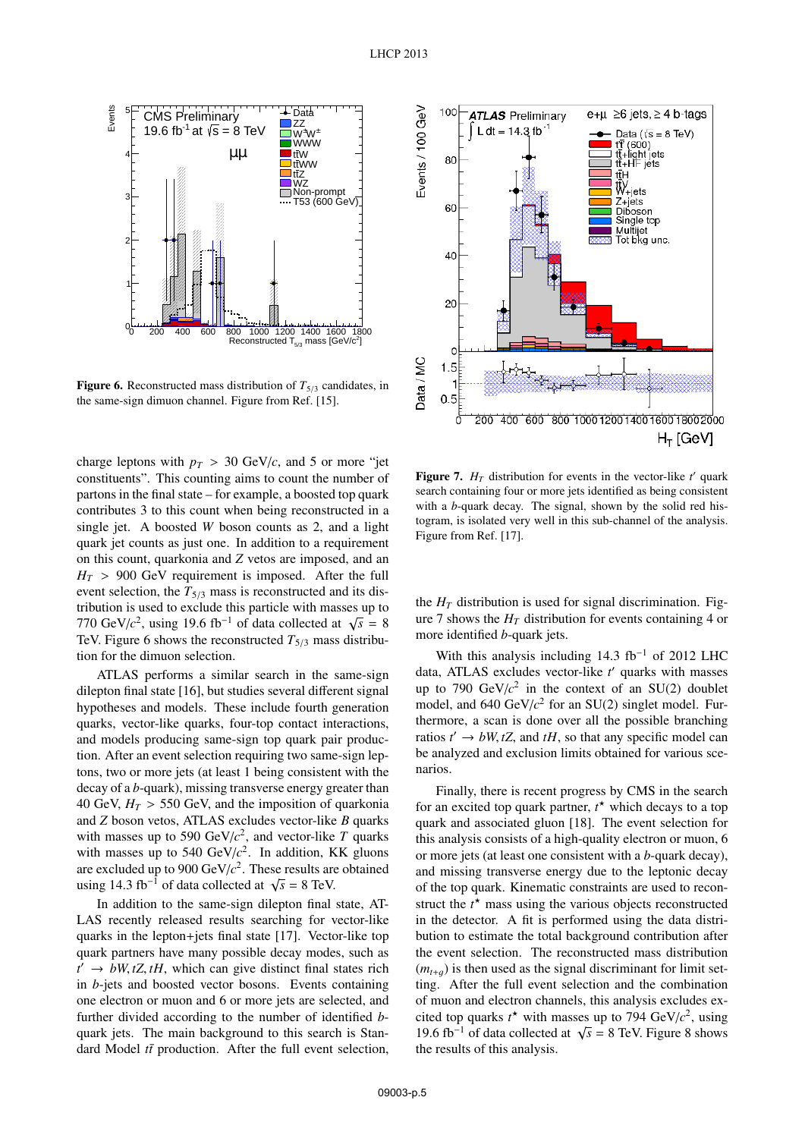

**Figure 6.** Reconstructed mass distribution of  $T_{5/3}$  candidates, in the same-sign dimuon channel. Figure from Ref. [15].

charge leptons with  $p_T > 30$  GeV/*c*, and 5 or more "jet constituents". This counting aims to count the number of partons in the final state – for example, a boosted top quark contributes 3 to this count when being reconstructed in a single jet. A boosted *W* boson counts as 2, and a light quark jet counts as just one. In addition to a requirement on this count, quarkonia and *Z* vetos are imposed, and an  $H_T$  > 900 GeV requirement is imposed. After the full event selection, the  $T_{5/3}$  mass is reconstructed and its distribution is used to exclude this particle with masses up to tribution is used to exclude this particle with masses up to<br>770 GeV/ $c^2$ , using 19.6 fb<sup>−1</sup> of data collected at  $\sqrt{s} = 8$ TeV. Figure 6 shows the reconstructed  $T_{5/3}$  mass distribution for the dimuon selection.

ATLAS performs a similar search in the same-sign dilepton final state [16], but studies several different signal hypotheses and models. These include fourth generation quarks, vector-like quarks, four-top contact interactions, and models producing same-sign top quark pair production. After an event selection requiring two same-sign leptons, two or more jets (at least 1 being consistent with the decay of a *b*-quark), missing transverse energy greater than 40 GeV,  $H_T > 550$  GeV, and the imposition of quarkonia and *Z* boson vetos, ATLAS excludes vector-like *B* quarks with masses up to 590  $GeV/c^2$ , and vector-like *T* quarks with masses up to 540  $\text{GeV}/c^2$ . In addition, KK gluons are excluded up to 900 GeV/*c* 2 . These results are obtained are excluded up to 900 Ge  $v/c$ . These results are using 14.3 fb<sup>-1</sup> of data collected at  $\sqrt{s} = 8$  TeV.

In addition to the same-sign dilepton final state, AT-LAS recently released results searching for vector-like quarks in the lepton+jets final state [17]. Vector-like top quark partners have many possible decay modes, such as  $t' \rightarrow bW$ , *tZ*, *tH*, which can give distinct final states rich in heirts and boosted vector bosons. Events containing in *b*-jets and boosted vector bosons. Events containing one electron or muon and 6 or more jets are selected, and further divided according to the number of identified *b*quark jets. The main background to this search is Standard Model  $t\bar{t}$  production. After the full event selection,



**Figure 7.**  $H_T$  distribution for events in the vector-like  $t'$  quark search containing four or more jets identified as being consistent with a *b*-quark decay. The signal, shown by the solid red histogram, is isolated very well in this sub-channel of the analysis. Figure from Ref. [17].

the  $H_T$  distribution is used for signal discrimination. Figure 7 shows the  $H_T$  distribution for events containing 4 or more identified *b*-quark jets.

With this analysis including  $14.3$  fb<sup>-1</sup> of 2012 LHC data, ATLAS excludes vector-like t' quarks with masses up to 790  $GeV/c^2$  in the context of an SU(2) doublet model, and 640 GeV/ $c<sup>2</sup>$  for an SU(2) singlet model. Furthermore, a scan is done over all the possible branching ratios  $t' \rightarrow bW$ ,  $tZ$ , and  $tH$ , so that any specific model can<br>be analyzed and exclusion limits obtained for various scebe analyzed and exclusion limits obtained for various scenarios.

Finally, there is recent progress by CMS in the search for an excited top quark partner,  $t^*$  which decays to a top quark and associated gluon [18]. The event selection for this analysis consists of a high-quality electron or muon, 6 or more jets (at least one consistent with a *b*-quark decay), and missing transverse energy due to the leptonic decay of the top quark. Kinematic constraints are used to reconstruct the  $t^*$  mass using the various objects reconstructed in the detector. A fit is performed using the data distribution to estimate the total background contribution after the event selection. The reconstructed mass distribution  $(m<sub>t+a</sub>)$  is then used as the signal discriminant for limit setting. After the full event selection and the combination of muon and electron channels, this analysis excludes excited top quarks  $t^*$  with masses up to 794 GeV/ $c^2$ , using ched top quarks *t* with masses up to 794 GeV/c, using 19.6 fb<sup>-1</sup> of data collected at  $\sqrt{s}$  = 8 TeV. Figure 8 shows the results of this analysis.